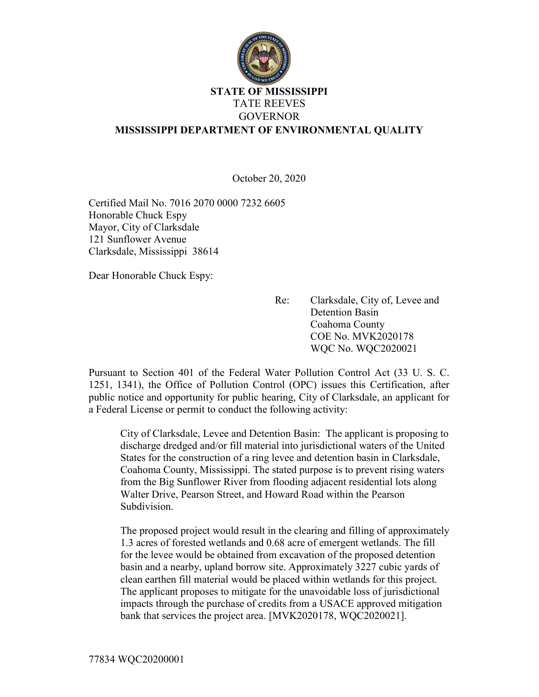

## STATE OF MISSISSIPPI TATE REEVES GOVERNOR MISSISSIPPI DEPARTMENT OF ENVIRONMENTAL QUALITY

October 20, 2020

Certified Mail No. 7016 2070 0000 7232 6605 Honorable Chuck Espy Mayor, City of Clarksdale 121 Sunflower Avenue Clarksdale, Mississippi 38614

Dear Honorable Chuck Espy:

Re: Clarksdale, City of, Levee and Detention Basin Coahoma County COE No. MVK2020178 WQC No. WQC2020021

Pursuant to Section 401 of the Federal Water Pollution Control Act (33 U. S. C. 1251, 1341), the Office of Pollution Control (OPC) issues this Certification, after public notice and opportunity for public hearing, City of Clarksdale, an applicant for a Federal License or permit to conduct the following activity:

City of Clarksdale, Levee and Detention Basin: The applicant is proposing to discharge dredged and/or fill material into jurisdictional waters of the United States for the construction of a ring levee and detention basin in Clarksdale, Coahoma County, Mississippi. The stated purpose is to prevent rising waters from the Big Sunflower River from flooding adjacent residential lots along Walter Drive, Pearson Street, and Howard Road within the Pearson Subdivision.

The proposed project would result in the clearing and filling of approximately 1.3 acres of forested wetlands and 0.68 acre of emergent wetlands. The fill for the levee would be obtained from excavation of the proposed detention basin and a nearby, upland borrow site. Approximately 3227 cubic yards of clean earthen fill material would be placed within wetlands for this project. The applicant proposes to mitigate for the unavoidable loss of jurisdictional impacts through the purchase of credits from a USACE approved mitigation bank that services the project area. [MVK2020178, WQC2020021].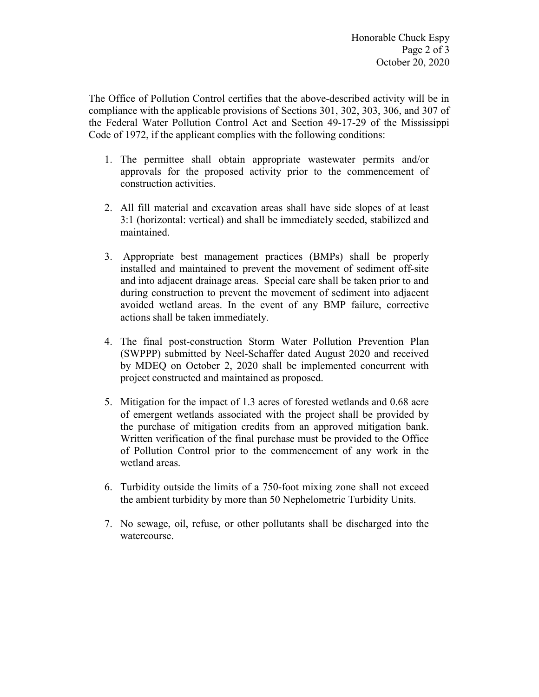The Office of Pollution Control certifies that the above-described activity will be in compliance with the applicable provisions of Sections 301, 302, 303, 306, and 307 of the Federal Water Pollution Control Act and Section 49-17-29 of the Mississippi Code of 1972, if the applicant complies with the following conditions:

- 1. The permittee shall obtain appropriate wastewater permits and/or approvals for the proposed activity prior to the commencement of construction activities.
- 2. All fill material and excavation areas shall have side slopes of at least 3:1 (horizontal: vertical) and shall be immediately seeded, stabilized and maintained.
- 3. Appropriate best management practices (BMPs) shall be properly installed and maintained to prevent the movement of sediment off-site and into adjacent drainage areas. Special care shall be taken prior to and during construction to prevent the movement of sediment into adjacent avoided wetland areas. In the event of any BMP failure, corrective actions shall be taken immediately.
- 4. The final post-construction Storm Water Pollution Prevention Plan (SWPPP) submitted by Neel-Schaffer dated August 2020 and received by MDEQ on October 2, 2020 shall be implemented concurrent with project constructed and maintained as proposed.
- 5. Mitigation for the impact of 1.3 acres of forested wetlands and 0.68 acre of emergent wetlands associated with the project shall be provided by the purchase of mitigation credits from an approved mitigation bank. Written verification of the final purchase must be provided to the Office of Pollution Control prior to the commencement of any work in the wetland areas.
- 6. Turbidity outside the limits of a 750-foot mixing zone shall not exceed the ambient turbidity by more than 50 Nephelometric Turbidity Units.
- 7. No sewage, oil, refuse, or other pollutants shall be discharged into the watercourse.